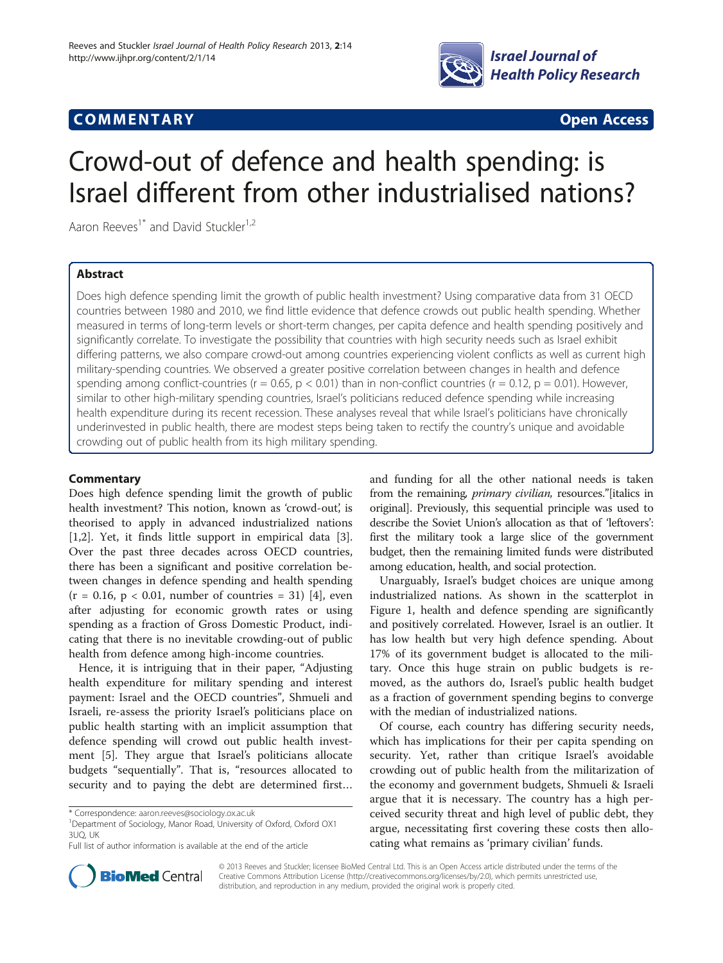

# **COMMENTARY COMMENTARY Open Access**

# Crowd-out of defence and health spending: is Israel different from other industrialised nations?

Aaron Reeves<sup>1\*</sup> and David Stuckler<sup>1,2</sup>

# Abstract

Does high defence spending limit the growth of public health investment? Using comparative data from 31 OECD countries between 1980 and 2010, we find little evidence that defence crowds out public health spending. Whether measured in terms of long-term levels or short-term changes, per capita defence and health spending positively and significantly correlate. To investigate the possibility that countries with high security needs such as Israel exhibit differing patterns, we also compare crowd-out among countries experiencing violent conflicts as well as current high military-spending countries. We observed a greater positive correlation between changes in health and defence spending among conflict-countries ( $r = 0.65$ ,  $p < 0.01$ ) than in non-conflict countries ( $r = 0.12$ ,  $p = 0.01$ ). However, similar to other high-military spending countries, Israel's politicians reduced defence spending while increasing health expenditure during its recent recession. These analyses reveal that while Israel's politicians have chronically underinvested in public health, there are modest steps being taken to rectify the country's unique and avoidable crowding out of public health from its high military spending.

# **Commentary**

Does high defence spending limit the growth of public health investment? This notion, known as 'crowd-out', is theorised to apply in advanced industrialized nations [[1,2\]](#page-2-0). Yet, it finds little support in empirical data [\[3](#page-2-0)]. Over the past three decades across OECD countries, there has been a significant and positive correlation between changes in defence spending and health spending  $(r = 0.16, p < 0.01,$  number of countries = 31) [[4\]](#page-2-0), even after adjusting for economic growth rates or using spending as a fraction of Gross Domestic Product, indicating that there is no inevitable crowding-out of public health from defence among high-income countries.

Hence, it is intriguing that in their paper, "Adjusting health expenditure for military spending and interest payment: Israel and the OECD countries", Shmueli and Israeli, re-assess the priority Israel's politicians place on public health starting with an implicit assumption that defence spending will crowd out public health investment [[5\]](#page-2-0). They argue that Israel's politicians allocate budgets "sequentially". That is, "resources allocated to security and to paying the debt are determined first…

<sup>1</sup>Department of Sociology, Manor Road, University of Oxford, Oxford OX1 3UQ, UK

and funding for all the other national needs is taken from the remaining, *primary civilian*, resources." [italics in original]. Previously, this sequential principle was used to describe the Soviet Union's allocation as that of 'leftovers': first the military took a large slice of the government budget, then the remaining limited funds were distributed among education, health, and social protection.

Unarguably, Israel's budget choices are unique among industrialized nations. As shown in the scatterplot in Figure [1,](#page-1-0) health and defence spending are significantly and positively correlated. However, Israel is an outlier. It has low health but very high defence spending. About 17% of its government budget is allocated to the military. Once this huge strain on public budgets is removed, as the authors do, Israel's public health budget as a fraction of government spending begins to converge with the median of industrialized nations.

Of course, each country has differing security needs, which has implications for their per capita spending on security. Yet, rather than critique Israel's avoidable crowding out of public health from the militarization of the economy and government budgets, Shmueli & Israeli argue that it is necessary. The country has a high perceived security threat and high level of public debt, they argue, necessitating first covering these costs then allocating what remains as 'primary civilian' funds.



© 2013 Reeves and Stuckler; licensee BioMed Central Ltd. This is an Open Access article distributed under the terms of the Creative Commons Attribution License (<http://creativecommons.org/licenses/by/2.0>), which permits unrestricted use, distribution, and reproduction in any medium, provided the original work is properly cited.

<sup>\*</sup> Correspondence: [aaron.reeves@sociology.ox.ac.uk](mailto:aaron.reeves@sociology.ox.ac.uk) <sup>1</sup>

Full list of author information is available at the end of the article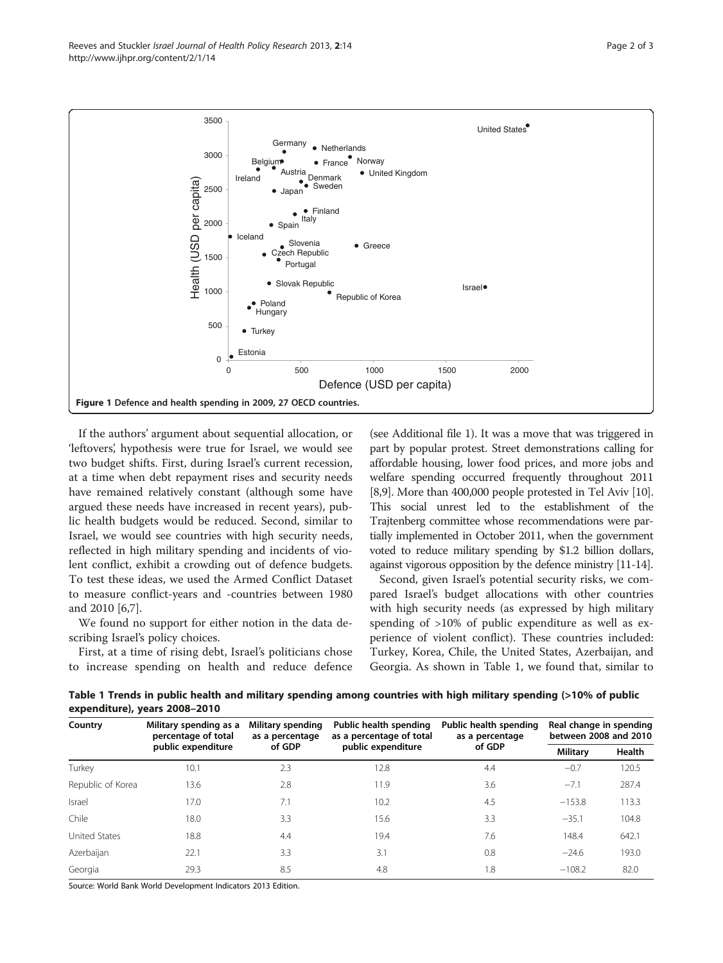<span id="page-1-0"></span>Reeves and Stuckler *Israel Journal of Health Policy Research* 2013, 2:14 Page 2 of 3 http://www.ijhpr.org/content/2/1/14



If the authors' argument about sequential allocation, or 'leftovers', hypothesis were true for Israel, we would see two budget shifts. First, during Israel's current recession, at a time when debt repayment rises and security needs have remained relatively constant (although some have argued these needs have increased in recent years), public health budgets would be reduced. Second, similar to Israel, we would see countries with high security needs, reflected in high military spending and incidents of violent conflict, exhibit a crowding out of defence budgets. To test these ideas, we used the Armed Conflict Dataset to measure conflict-years and -countries between 1980 and 2010 [[6,7\]](#page-2-0).

We found no support for either notion in the data describing Israel's policy choices.

First, at a time of rising debt, Israel's politicians chose to increase spending on health and reduce defence

(see Additional file [1\)](#page-2-0). It was a move that was triggered in part by popular protest. Street demonstrations calling for affordable housing, lower food prices, and more jobs and welfare spending occurred frequently throughout 2011 [[8,9](#page-2-0)]. More than 400,000 people protested in Tel Aviv [[10](#page-2-0)]. This social unrest led to the establishment of the Trajtenberg committee whose recommendations were partially implemented in October 2011, when the government voted to reduce military spending by \$1.2 billion dollars, against vigorous opposition by the defence ministry [\[11](#page-2-0)-[14](#page-2-0)].

Second, given Israel's potential security risks, we compared Israel's budget allocations with other countries with high security needs (as expressed by high military spending of >10% of public expenditure as well as experience of violent conflict). These countries included: Turkey, Korea, Chile, the United States, Azerbaijan, and Georgia. As shown in Table 1, we found that, similar to

Table 1 Trends in public health and military spending among countries with high military spending (>10% of public expenditure), years 2008–2010

| Country           | Military spending as a<br>percentage of total<br>public expenditure | Military spending<br>as a percentage<br>of GDP | Public health spending<br>as a percentage of total<br>public expenditure | Public health spending<br>as a percentage<br>of GDP | Real change in spending<br>between 2008 and 2010 |        |
|-------------------|---------------------------------------------------------------------|------------------------------------------------|--------------------------------------------------------------------------|-----------------------------------------------------|--------------------------------------------------|--------|
|                   |                                                                     |                                                |                                                                          |                                                     | <b>Military</b>                                  | Health |
| Turkey            | 10.1                                                                | 2.3                                            | 12.8                                                                     | 4.4                                                 | $-0.7$                                           | 120.5  |
| Republic of Korea | 13.6                                                                | 2.8                                            | 11.9                                                                     | 3.6                                                 | $-7.1$                                           | 287.4  |
| Israel            | 17.0                                                                | 7.1                                            | 10.2                                                                     | 4.5                                                 | $-153.8$                                         | 113.3  |
| Chile             | 18.0                                                                | 3.3                                            | 15.6                                                                     | 3.3                                                 | $-35.1$                                          | 104.8  |
| United States     | 18.8                                                                | 4.4                                            | 19.4                                                                     | 7.6                                                 | 148.4                                            | 642.1  |
| Azerbaijan        | 22.1                                                                | 3.3                                            | 3.1                                                                      | 0.8                                                 | $-24.6$                                          | 193.0  |
| Georgia           | 29.3                                                                | 8.5                                            | 4.8                                                                      | 1.8                                                 | $-108.2$                                         | 82.0   |

Source: World Bank World Development Indicators 2013 Edition.